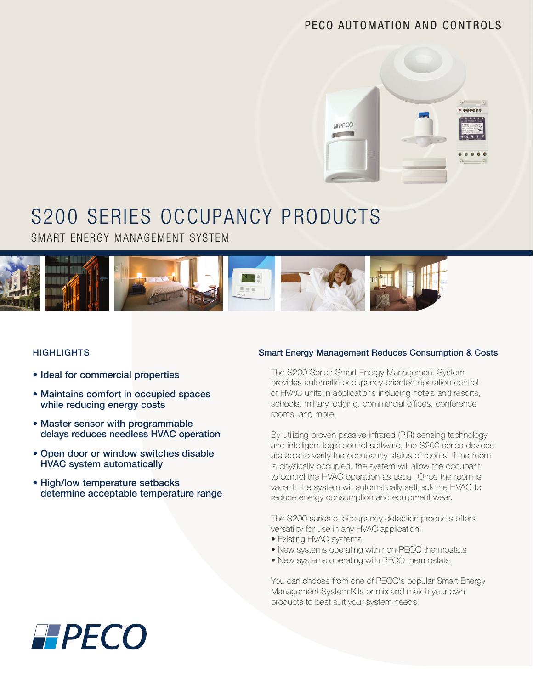# PECO AUTOMATION AND CONTROLS



# S200 SERIES OCCUPANCY PRODUCTS

SMART ENERGY MANAGEMENT SYSTEM



## **HIGHLIGHTS**

- Ideal for commercial properties
- Maintains comfort in occupied spaces while reducing energy costs
- Master sensor with programmable delays reduces needless HVAC operation
- • Open door or window switches disable HVAC system automatically
- High/low temperature setbacks determine acceptable temperature range

# Smart Energy Management Reduces Consumption & Costs

The S200 Series Smart Energy Management System provides automatic occupancy-oriented operation control of HVAC units in applications including hotels and resorts, schools, military lodging, commercial offices, conference rooms, and more.

By utilizing proven passive infrared (PIR) sensing technology and intelligent logic control software, the S200 series devices are able to verify the occupancy status of rooms. If the room is physically occupied, the system will allow the occupant to control the HVAC operation as usual. Once the room is vacant, the system will automatically setback the HVAC to reduce energy consumption and equipment wear.

The S200 series of occupancy detection products offers versatility for use in any HVAC application:

- Existing HVAC systems
- New systems operating with non-PECO thermostats
- New systems operating with PECO thermostats

You can choose from one of PECO's popular Smart Energy Management System Kits or mix and match your own products to best suit your system needs.